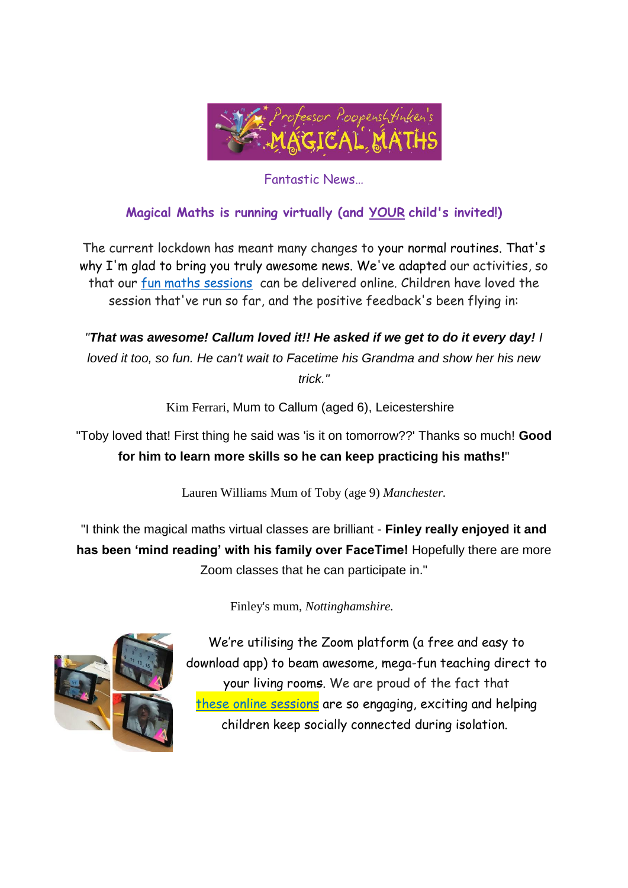

Fantastic News…

## **Magical Maths is running virtually (and YOUR child's invited!)**

The current lockdown has meant many changes to your normal routines. That's why I'm glad to bring you truly awesome news. We've adapted our activities, so that our [fun maths sessions](https://magicalmathsclub.com/club/listing/virtual-north-west-bham-walsall-dudley-sandwell-school/) can be delivered online. Children have loved the session that've run so far, and the positive feedback's been flying in:

*"That was awesome! Callum loved it!! He asked if we get to do it every day! I loved it too, so fun. He can't wait to Facetime his Grandma and show her his new trick."*

Kim Ferrari, Mum to Callum (aged 6), Leicestershire

"Toby loved that! First thing he said was 'is it on tomorrow??' Thanks so much! **Good for him to learn more skills so he can keep practicing his maths!**"

Lauren Williams Mum of Toby (age 9) *Manchester.*

"I think the magical maths virtual classes are brilliant - **Finley really enjoyed it and has been 'mind reading' with his family over FaceTime!** Hopefully there are more Zoom classes that he can participate in."

Finley's mum, *Nottinghamshire.*



We're utilising the Zoom platform (a free and easy to download app) to beam awesome, mega-fun teaching direct to your living rooms. We are proud of the fact that these online [sessions](https://magicalmathsclub.com/club/listing/virtual-north-west-bham-walsall-dudley-sandwell-school/) are so engaging, exciting and helping children keep socially connected during isolation.